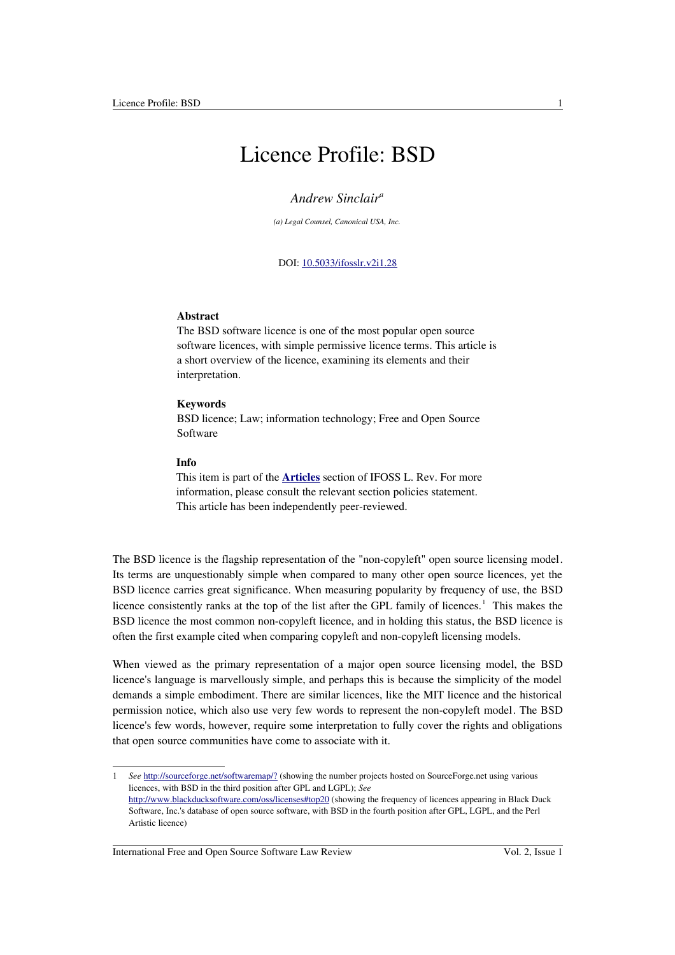# Licence Profile: BSD

# *Andrew Sinclair<sup>a</sup>*

*(a) Legal Counsel, Canonical USA, Inc.*

#### DOI: [10.5033/ifosslr.v2i1.28](http://dx.doi.org/10.5033/ifosslr.v2i1.28)

# **Abstract**

The BSD software licence is one of the most popular open source software licences, with simple permissive licence terms. This article is a short overview of the licence, examining its elements and their interpretation.

### **Keywords**

BSD licence; Law; information technology; Free and Open Source Software

#### **Info**

This item is part of the **[Articles](http://www.ifosslr.org/ifosslr/about/editorialPolicies#sectionPolicies)** section of IFOSS L. Rev. For more information, please consult the relevant section policies statement. This article has been independently peer-reviewed.

The BSD licence is the flagship representation of the "non-copyleft" open source licensing model. Its terms are unquestionably simple when compared to many other open source licences, yet the BSD licence carries great significance. When measuring popularity by frequency of use, the BSD licence consistently ranks at the top of the list after the GPL family of licences.<sup>[1](#page-0-0)</sup> This makes the BSD licence the most common non-copyleft licence, and in holding this status, the BSD licence is often the first example cited when comparing copyleft and non-copyleft licensing models.

When viewed as the primary representation of a major open source licensing model, the BSD licence's language is marvellously simple, and perhaps this is because the simplicity of the model demands a simple embodiment. There are similar licences, like the MIT licence and the historical permission notice, which also use very few words to represent the non-copyleft model. The BSD licence's few words, however, require some interpretation to fully cover the rights and obligations that open source communities have come to associate with it.

<span id="page-0-0"></span><sup>1</sup> *See* <http://sourceforge.net/softwaremap/?>(showing the number projects hosted on SourceForge.net using various licences, with BSD in the third position after GPL and LGPL); *See* <http://www.blackducksoftware.com/oss/licenses#top20>(showing the frequency of licences appearing in Black Duck Software, Inc.'s database of open source software, with BSD in the fourth position after GPL, LGPL, and the Perl Artistic licence)

International Free and Open Source Software Law Review Vol. 2, Issue 1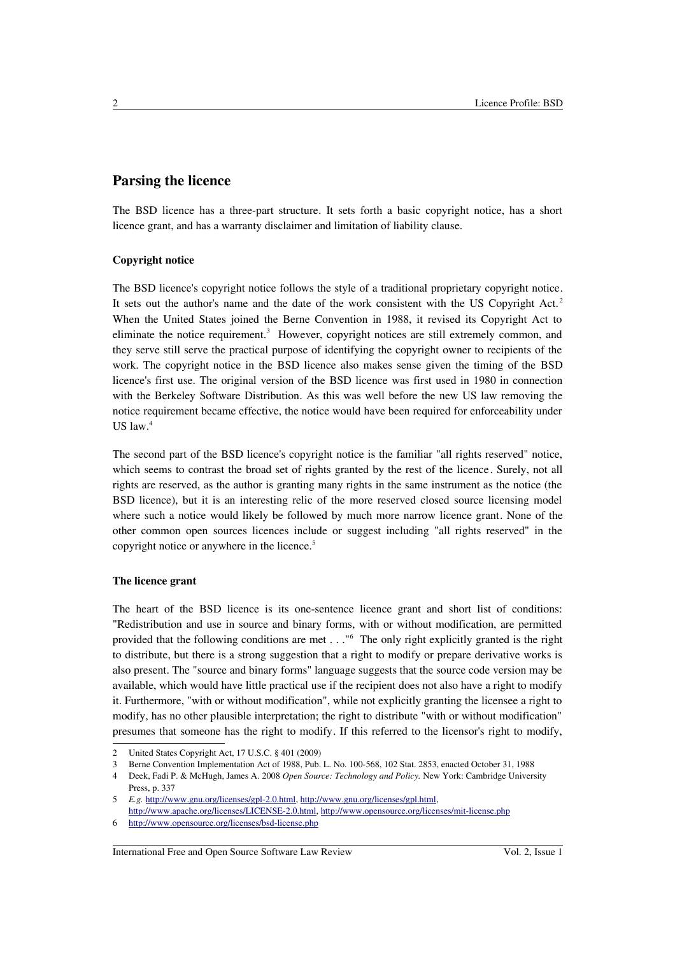# **Parsing the licence**

The BSD licence has a three-part structure. It sets forth a basic copyright notice, has a short licence grant, and has a warranty disclaimer and limitation of liability clause.

## **Copyright notice**

The BSD licence's copyright notice follows the style of a traditional proprietary copyright notice. It sets out the author's name and the date of the work consistent with the US Copyright Act.<sup>[2](#page-1-0)</sup> When the United States joined the Berne Convention in 1988, it revised its Copyright Act to eliminate the notice requirement.<sup>[3](#page-1-1)</sup> However, copyright notices are still extremely common, and they serve still serve the practical purpose of identifying the copyright owner to recipients of the work. The copyright notice in the BSD licence also makes sense given the timing of the BSD licence's first use. The original version of the BSD licence was first used in 1980 in connection with the Berkeley Software Distribution. As this was well before the new US law removing the notice requirement became effective, the notice would have been required for enforceability under US law. $4$ 

The second part of the BSD licence's copyright notice is the familiar "all rights reserved" notice, which seems to contrast the broad set of rights granted by the rest of the licence. Surely, not all rights are reserved, as the author is granting many rights in the same instrument as the notice (the BSD licence), but it is an interesting relic of the more reserved closed source licensing model where such a notice would likely be followed by much more narrow licence grant. None of the other common open sources licences include or suggest including "all rights reserved" in the copyright notice or anywhere in the licence.<sup>[5](#page-1-3)</sup>

### **The licence grant**

The heart of the BSD licence is its one-sentence licence grant and short list of conditions: "Redistribution and use in source and binary forms, with or without modification, are permitted provided that the following conditions are met . . ."<sup>[6](#page-1-4)</sup> The only right explicitly granted is the right to distribute, but there is a strong suggestion that a right to modify or prepare derivative works is also present. The "source and binary forms" language suggests that the source code version may be available, which would have little practical use if the recipient does not also have a right to modify it. Furthermore, "with or without modification", while not explicitly granting the licensee a right to modify, has no other plausible interpretation; the right to distribute "with or without modification" presumes that someone has the right to modify. If this referred to the licensor's right to modify,

International Free and Open Source Software Law Review Vol. 2, Issue 1

<span id="page-1-0"></span><sup>2</sup> United States Copyright Act, 17 U.S.C. § 401 (2009)

<span id="page-1-1"></span><sup>3</sup> Berne Convention Implementation Act of 1988, Pub. L. No. 100-568, 102 Stat. 2853, enacted October 31, 1988

<span id="page-1-2"></span><sup>4</sup> Deek, Fadi P. & McHugh, James A. 2008 *Open Source: Technology and Policy.* New York: Cambridge University Press, p. 337

<span id="page-1-3"></span><sup>5</sup> *E.g.* [http://www.gnu.org/licenses/gpl-2.0.html,](http://www.gnu.org/licenses/gpl-2.0.html) [http://www.gnu.org/licenses/gpl.html,](http://www.gnu.org/licenses/gpl.html) [http://www.apache.org/licenses/LICENSE-2.0.html,](http://www.apache.org/licenses/LICENSE-2.0.html)<http://www.opensource.org/licenses/mit-license.php>

<span id="page-1-4"></span><sup>6</sup><http://www.opensource.org/licenses/bsd-license.php>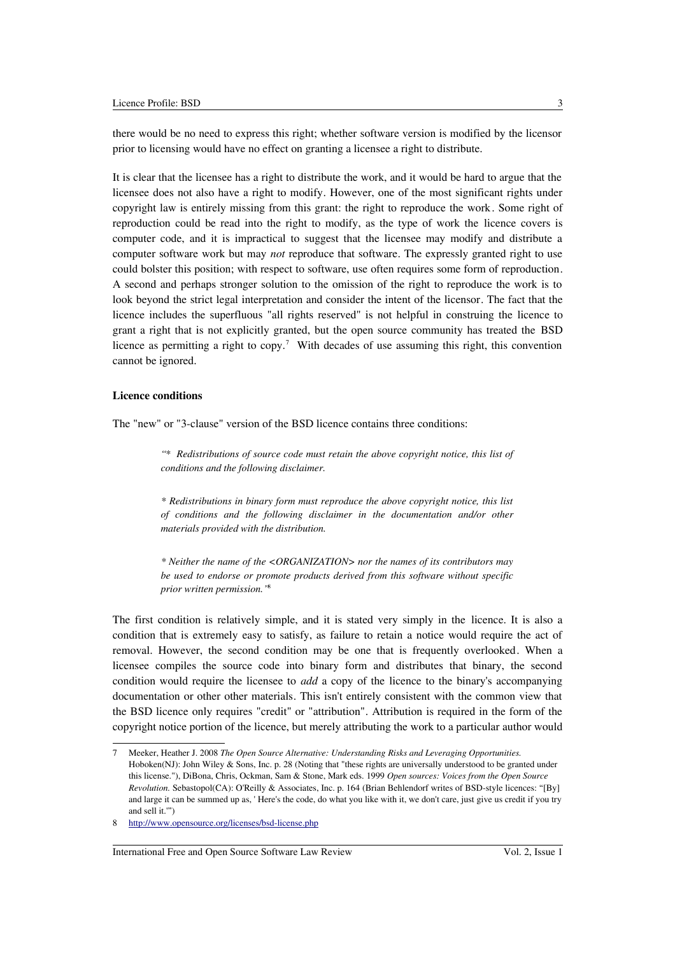there would be no need to express this right; whether software version is modified by the licensor prior to licensing would have no effect on granting a licensee a right to distribute.

It is clear that the licensee has a right to distribute the work, and it would be hard to argue that the licensee does not also have a right to modify. However, one of the most significant rights under copyright law is entirely missing from this grant: the right to reproduce the work. Some right of reproduction could be read into the right to modify, as the type of work the licence covers is computer code, and it is impractical to suggest that the licensee may modify and distribute a computer software work but may *not* reproduce that software. The expressly granted right to use could bolster this position; with respect to software, use often requires some form of reproduction. A second and perhaps stronger solution to the omission of the right to reproduce the work is to look beyond the strict legal interpretation and consider the intent of the licensor. The fact that the licence includes the superfluous "all rights reserved" is not helpful in construing the licence to grant a right that is not explicitly granted, but the open source community has treated the BSD licence as permitting a right to  $copy.^7$  $copy.^7$  With decades of use assuming this right, this convention cannot be ignored.

## **Licence conditions**

The "new" or "3-clause" version of the BSD licence contains three conditions:

*"\* Redistributions of source code must retain the above copyright notice, this list of conditions and the following disclaimer.*

*\* Redistributions in binary form must reproduce the above copyright notice, this list of conditions and the following disclaimer in the documentation and/or other materials provided with the distribution.*

*\* Neither the name of the <ORGANIZATION> nor the names of its contributors may be used to endorse or promote products derived from this software without specific prior written permission."*[8](#page-2-1)

The first condition is relatively simple, and it is stated very simply in the licence. It is also a condition that is extremely easy to satisfy, as failure to retain a notice would require the act of removal. However, the second condition may be one that is frequently overlooked. When a licensee compiles the source code into binary form and distributes that binary, the second condition would require the licensee to *add* a copy of the licence to the binary's accompanying documentation or other other materials. This isn't entirely consistent with the common view that the BSD licence only requires "credit" or "attribution". Attribution is required in the form of the copyright notice portion of the licence, but merely attributing the work to a particular author would

<span id="page-2-0"></span><sup>7</sup> Meeker, Heather J. 2008 *The Open Source Alternative: Understanding Risks and Leveraging Opportunities.* Hoboken(NJ): John Wiley & Sons, Inc. p. 28 (Noting that "these rights are universally understood to be granted under this license."), DiBona, Chris, Ockman, Sam & Stone, Mark eds. 1999 *Open sources: Voices from the Open Source Revolution.* Sebastopol(CA): O'Reilly & Associates, Inc. p. 164 (Brian Behlendorf writes of BSD-style licences: "[By] and large it can be summed up as, ' Here's the code, do what you like with it, we don't care, just give us credit if you try and sell it.'")

<span id="page-2-1"></span><sup>8</sup><http://www.opensource.org/licenses/bsd-license.php>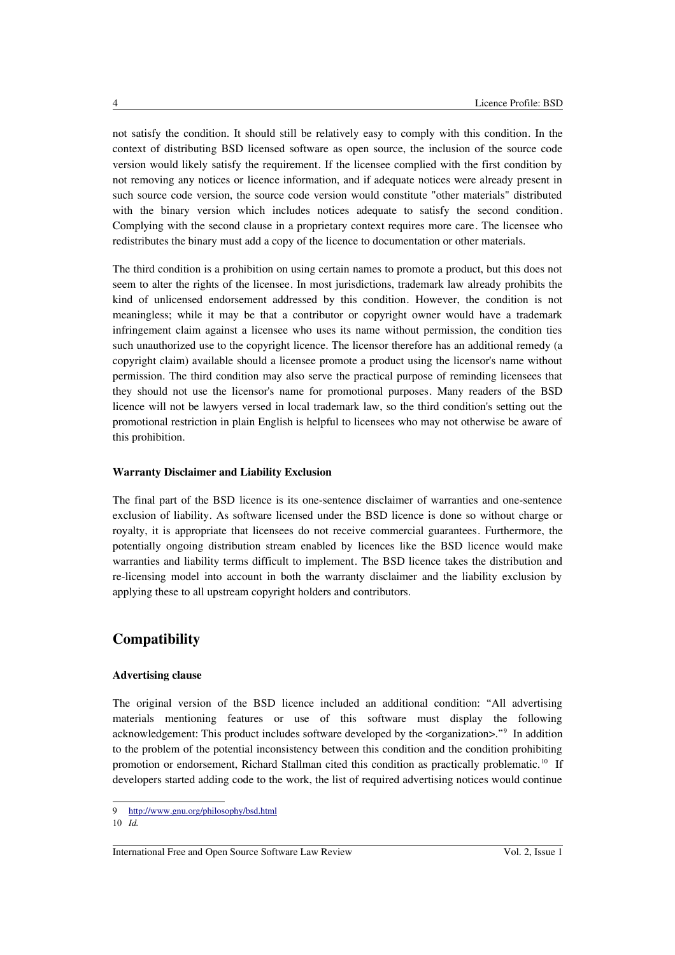not satisfy the condition. It should still be relatively easy to comply with this condition. In the context of distributing BSD licensed software as open source, the inclusion of the source code version would likely satisfy the requirement. If the licensee complied with the first condition by not removing any notices or licence information, and if adequate notices were already present in such source code version, the source code version would constitute "other materials" distributed with the binary version which includes notices adequate to satisfy the second condition. Complying with the second clause in a proprietary context requires more care. The licensee who redistributes the binary must add a copy of the licence to documentation or other materials.

The third condition is a prohibition on using certain names to promote a product, but this does not seem to alter the rights of the licensee. In most jurisdictions, trademark law already prohibits the kind of unlicensed endorsement addressed by this condition. However, the condition is not meaningless; while it may be that a contributor or copyright owner would have a trademark infringement claim against a licensee who uses its name without permission, the condition ties such unauthorized use to the copyright licence. The licensor therefore has an additional remedy (a copyright claim) available should a licensee promote a product using the licensor's name without permission. The third condition may also serve the practical purpose of reminding licensees that they should not use the licensor's name for promotional purposes. Many readers of the BSD licence will not be lawyers versed in local trademark law, so the third condition's setting out the promotional restriction in plain English is helpful to licensees who may not otherwise be aware of this prohibition.

### **Warranty Disclaimer and Liability Exclusion**

The final part of the BSD licence is its one-sentence disclaimer of warranties and one-sentence exclusion of liability. As software licensed under the BSD licence is done so without charge or royalty, it is appropriate that licensees do not receive commercial guarantees. Furthermore, the potentially ongoing distribution stream enabled by licences like the BSD licence would make warranties and liability terms difficult to implement. The BSD licence takes the distribution and re-licensing model into account in both the warranty disclaimer and the liability exclusion by applying these to all upstream copyright holders and contributors.

# **Compatibility**

# **Advertising clause**

The original version of the BSD licence included an additional condition: "All advertising materials mentioning features or use of this software must display the following acknowledgement: This product includes software developed by the <organization>."<sup>[9](#page-3-0)</sup> In addition to the problem of the potential inconsistency between this condition and the condition prohibiting promotion or endorsement, Richard Stallman cited this condition as practically problematic. [10](#page-3-1) If developers started adding code to the work, the list of required advertising notices would continue

<span id="page-3-1"></span>10 *Id.*

#### International Free and Open Source Software Law Review Vol. 2, Issue 1

<span id="page-3-0"></span><sup>9</sup><http://www.gnu.org/philosophy/bsd.html>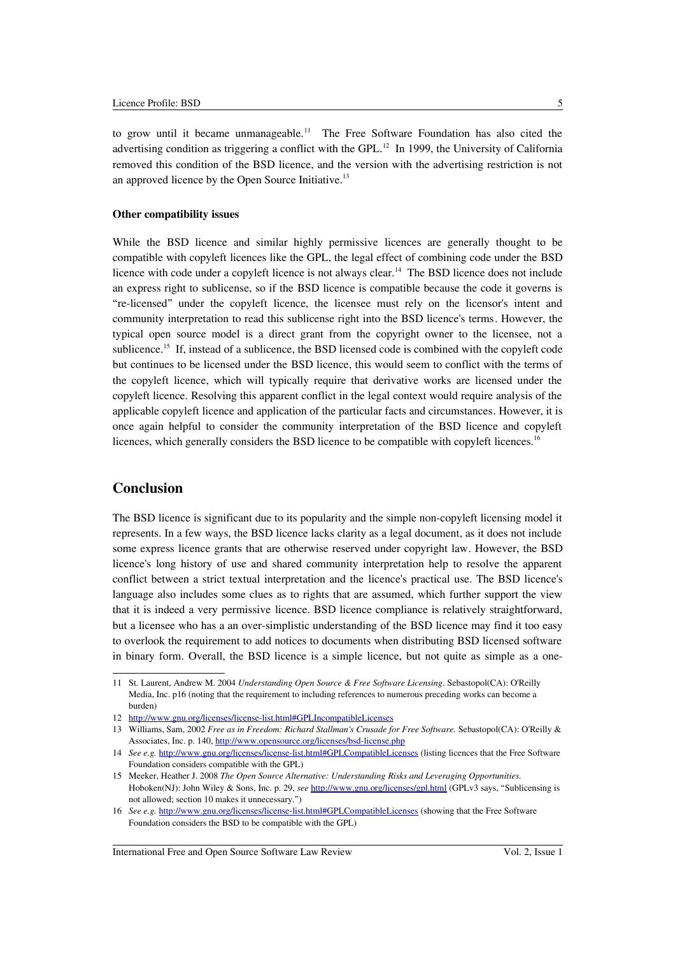to grow until it became unmanageable.<sup>[11](#page-4-0)</sup> The Free Software Foundation has also cited the advertising condition as triggering a conflict with the GPL. $^{12}$  $^{12}$  $^{12}$  In 1999, the University of California removed this condition of the BSD licence, and the version with the advertising restriction is not an approved licence by the Open Source Initiative.<sup>[13](#page-4-2)</sup>

#### **Other compatibility issues**

While the BSD licence and similar highly permissive licences are generally thought to be compatible with copyleft licences like the GPL, the legal effect of combining code under the BSD licence with code under a copyleft licence is not always clear.<sup>[14](#page-4-3)</sup> The BSD licence does not include an express right to sublicense, so if the BSD licence is compatible because the code it governs is "re-licensed" under the copyleft licence, the licensee must rely on the licensor's intent and community interpretation to read this sublicense right into the BSD licence's terms. However, the typical open source model is a direct grant from the copyright owner to the licensee, not a sublicence.<sup>[15](#page-4-4)</sup> If, instead of a sublicence, the BSD licensed code is combined with the copyleft code but continues to be licensed under the BSD licence, this would seem to conflict with the terms of the copyleft licence, which will typically require that derivative works are licensed under the copyleft licence. Resolving this apparent conflict in the legal context would require analysis of the applicable copyleft licence and application of the particular facts and circumstances. However, it is once again helpful to consider the community interpretation of the BSD licence and copyleft licences, which generally considers the BSD licence to be compatible with copyleft licences.<sup>[16](#page-4-5)</sup>

# **Conclusion**

The BSD licence is significant due to its popularity and the simple non-copyleft licensing model it represents. In a few ways, the BSD licence lacks clarity as a legal document, as it does not include some express licence grants that are otherwise reserved under copyright law. However, the BSD licence's long history of use and shared community interpretation help to resolve the apparent conflict between a strict textual interpretation and the licence's practical use. The BSD licence's language also includes some clues as to rights that are assumed, which further support the view that it is indeed a very permissive licence. BSD licence compliance is relatively straightforward, but a licensee who has a an over-simplistic understanding of the BSD licence may find it too easy to overlook the requirement to add notices to documents when distributing BSD licensed software in binary form. Overall, the BSD licence is a simple licence, but not quite as simple as a one-

<span id="page-4-0"></span><sup>11</sup> St. Laurent, Andrew M. 2004 *Understanding Open Source & Free Software Licensing*. Sebastopol(CA): O'Reilly Media, Inc. p16 (noting that the requirement to including references to numerous preceding works can become a burden)

<span id="page-4-1"></span><sup>12</sup><http://www.gnu.org/licenses/license-list.html#GPLIncompatibleLicenses>

<span id="page-4-2"></span><sup>13</sup> Williams, Sam, 2002 *Free as in Freedom: Richard Stallman's Crusade for Free Software.* Sebastopol(CA): O'Reilly & Associates, Inc. p. 140,<http://www.opensource.org/licenses/bsd-license.php>

<span id="page-4-3"></span><sup>14</sup> *See e.g.* <http://www.gnu.org/licenses/license-list.html#GPLCompatibleLicenses>(listing licences that the Free Software Foundation considers compatible with the GPL)

<span id="page-4-4"></span><sup>15</sup> Meeker, Heather J. 2008 *The Open Source Alternative: Understanding Risks and Leveraging Opportunities.* Hoboken(NJ): John Wiley & Sons, Inc. p. 29, *see* <http://www.gnu.org/licenses/gpl.html>(GPLv3 says, "Sublicensing is not allowed; section 10 makes it unnecessary.")

<span id="page-4-5"></span><sup>16</sup> *See e.g.* <http://www.gnu.org/licenses/license-list.html#GPLCompatibleLicenses>(showing that the Free Software Foundation considers the BSD to be compatible with the GPL)